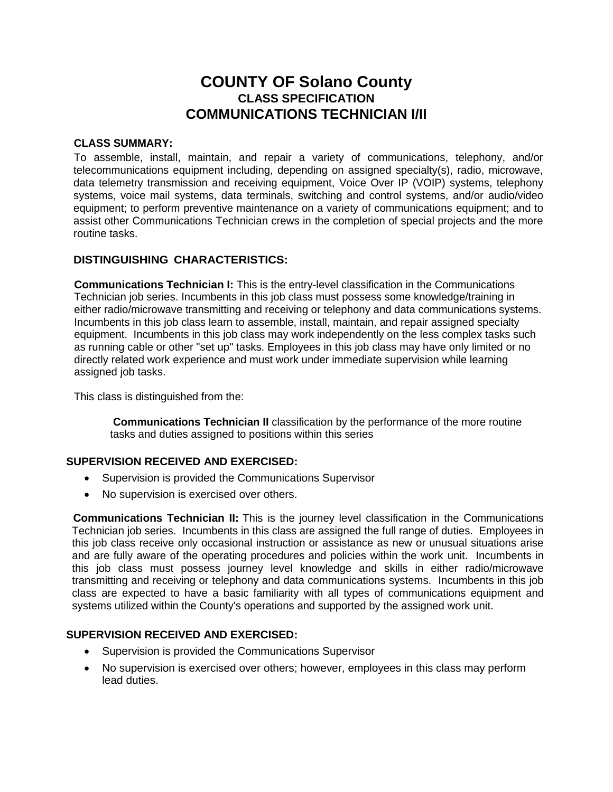# **COUNTY OF Solano County CLASS SPECIFICATION COMMUNICATIONS TECHNICIAN I/II**

#### **CLASS SUMMARY:**

To assemble, install, maintain, and repair a variety of communications, telephony, and/or telecommunications equipment including, depending on assigned specialty(s), radio, microwave, data telemetry transmission and receiving equipment, Voice Over IP (VOIP) systems, telephony systems, voice mail systems, data terminals, switching and control systems, and/or audio/video equipment; to perform preventive maintenance on a variety of communications equipment; and to assist other Communications Technician crews in the completion of special projects and the more routine tasks.

## **DISTINGUISHING CHARACTERISTICS:**

**Communications Technician I:** This is the entry-level classification in the Communications Technician job series. Incumbents in this job class must possess some knowledge/training in either radio/microwave transmitting and receiving or telephony and data communications systems. Incumbents in this job class learn to assemble, install, maintain, and repair assigned specialty equipment. Incumbents in this job class may work independently on the less complex tasks such as running cable or other "set up" tasks. Employees in this job class may have only limited or no directly related work experience and must work under immediate supervision while learning assigned job tasks.

This class is distinguished from the:

**Communications Technician II** classification by the performance of the more routine tasks and duties assigned to positions within this series

## **SUPERVISION RECEIVED AND EXERCISED:**

- Supervision is provided the Communications Supervisor
- No supervision is exercised over others.

**Communications Technician II:** This is the journey level classification in the Communications Technician job series. Incumbents in this class are assigned the full range of duties. Employees in this job class receive only occasional instruction or assistance as new or unusual situations arise and are fully aware of the operating procedures and policies within the work unit. Incumbents in this job class must possess journey level knowledge and skills in either radio/microwave transmitting and receiving or telephony and data communications systems. Incumbents in this job class are expected to have a basic familiarity with all types of communications equipment and systems utilized within the County's operations and supported by the assigned work unit.

## **SUPERVISION RECEIVED AND EXERCISED:**

- Supervision is provided the Communications Supervisor
- No supervision is exercised over others; however, employees in this class may perform lead duties.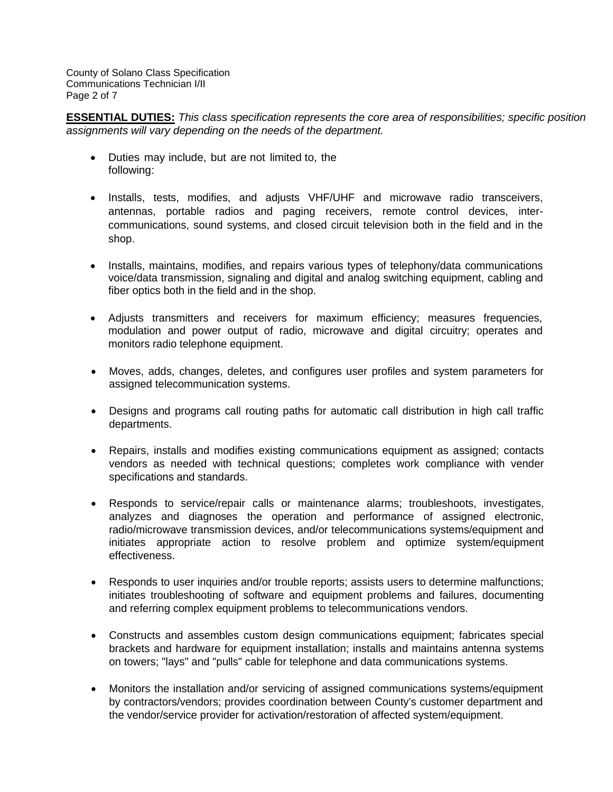County of Solano Class Specification Communications Technician I/II Page 2 of 7

**ESSENTIAL DUTIES:** *This class specification represents the core area of responsibilities; specific position assignments will vary depending on the needs of the department.*

- Duties may include, but are not limited to, the following:
- Installs, tests, modifies, and adjusts VHF/UHF and microwave radio transceivers, antennas, portable radios and paging receivers, remote control devices, intercommunications, sound systems, and closed circuit television both in the field and in the shop.
- Installs, maintains, modifies, and repairs various types of telephony/data communications voice/data transmission, signaling and digital and analog switching equipment, cabling and fiber optics both in the field and in the shop.
- Adjusts transmitters and receivers for maximum efficiency; measures frequencies, modulation and power output of radio, microwave and digital circuitry; operates and monitors radio telephone equipment.
- Moves, adds, changes, deletes, and configures user profiles and system parameters for assigned telecommunication systems.
- Designs and programs call routing paths for automatic call distribution in high call traffic departments.
- Repairs, installs and modifies existing communications equipment as assigned; contacts vendors as needed with technical questions; completes work compliance with vender specifications and standards.
- Responds to service/repair calls or maintenance alarms; troubleshoots, investigates, analyzes and diagnoses the operation and performance of assigned electronic, radio/microwave transmission devices, and/or telecommunications systems/equipment and initiates appropriate action to resolve problem and optimize system/equipment effectiveness.
- Responds to user inquiries and/or trouble reports; assists users to determine malfunctions; initiates troubleshooting of software and equipment problems and failures, documenting and referring complex equipment problems to telecommunications vendors.
- Constructs and assembles custom design communications equipment; fabricates special brackets and hardware for equipment installation; installs and maintains antenna systems on towers; "lays" and "pulls" cable for telephone and data communications systems.
- Monitors the installation and/or servicing of assigned communications systems/equipment by contractors/vendors; provides coordination between County's customer department and the vendor/service provider for activation/restoration of affected system/equipment.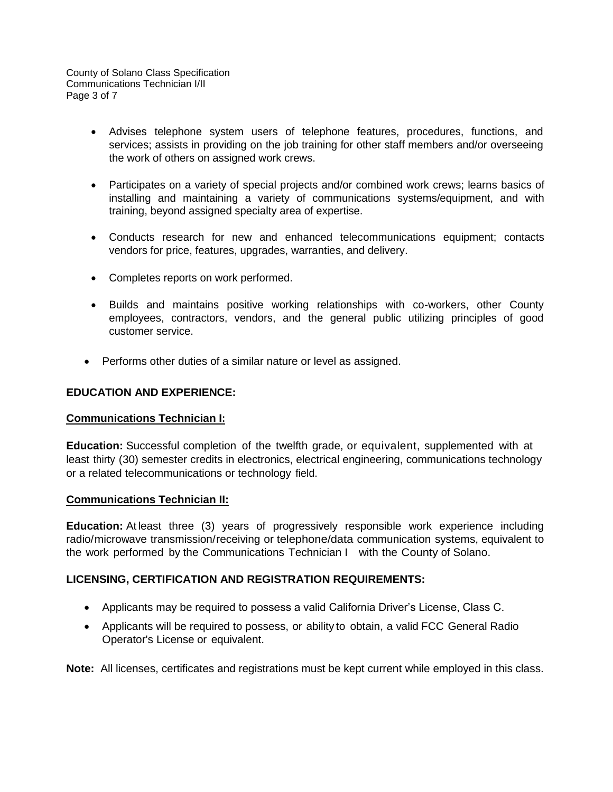County of Solano Class Specification Communications Technician I/II Page 3 of 7

- Advises telephone system users of telephone features, procedures, functions, and services; assists in providing on the job training for other staff members and/or overseeing the work of others on assigned work crews.
- Participates on a variety of special projects and/or combined work crews; learns basics of installing and maintaining a variety of communications systems/equipment, and with training, beyond assigned specialty area of expertise.
- Conducts research for new and enhanced telecommunications equipment; contacts vendors for price, features, upgrades, warranties, and delivery.
- Completes reports on work performed.
- Builds and maintains positive working relationships with co-workers, other County employees, contractors, vendors, and the general public utilizing principles of good customer service.
- Performs other duties of a similar nature or level as assigned.

#### **EDUCATION AND EXPERIENCE:**

#### **Communications Technician I:**

**Education:** Successful completion of the twelfth grade, or equivalent, supplemented with at least thirty (30) semester credits in electronics, electrical engineering, communications technology or a related telecommunications or technology field.

#### **Communications Technician II:**

**Education:** At least three (3) years of progressively responsible work experience including radio/microwave transmission/receiving or telephone/data communication systems, equivalent to the work performed by the Communications Technician I with the County of Solano.

#### **LICENSING, CERTIFICATION AND REGISTRATION REQUIREMENTS:**

- Applicants may be required to possess a valid California Driver's License, Class C.
- Applicants will be required to possess, or ability to obtain, a valid FCC General Radio Operator's License or equivalent.

**Note:** All licenses, certificates and registrations must be kept current while employed in this class.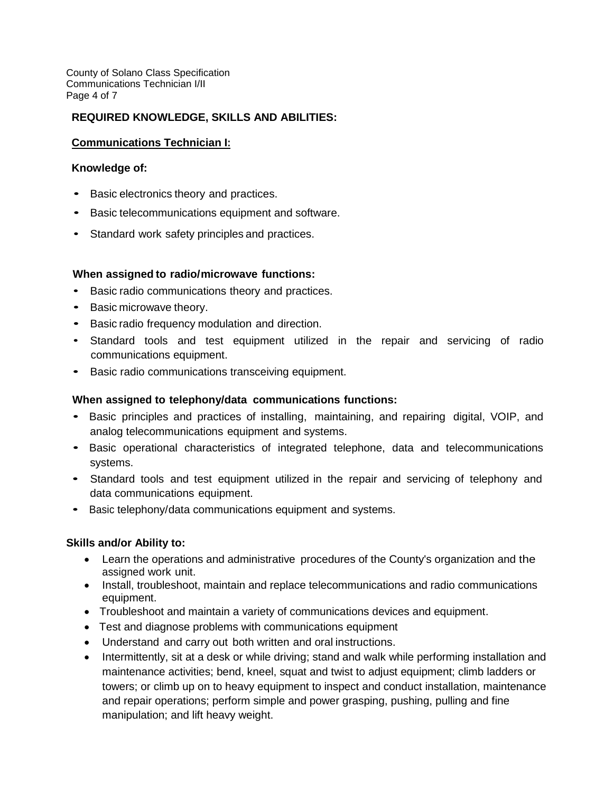County of Solano Class Specification Communications Technician I/II Page 4 of 7

# **REQUIRED KNOWLEDGE, SKILLS AND ABILITIES:**

## **Communications Technician I:**

#### **Knowledge of:**

- Basic electronics theory and practices.
- Basic telecommunications equipment and software.
- Standard work safety principles and practices.

#### **When assigned to radio/microwave functions:**

- Basic radio communications theory and practices.
- Basic microwave theory.
- Basic radio frequency modulation and direction.
- Standard tools and test equipment utilized in the repair and servicing of radio communications equipment.
- Basic radio communications transceiving equipment.

#### **When assigned to telephony/data communications functions:**

- Basic principles and practices of installing, maintaining, and repairing digital, VOIP, and analog telecommunications equipment and systems.
- Basic operational characteristics of integrated telephone, data and telecommunications systems.
- Standard tools and test equipment utilized in the repair and servicing of telephony and data communications equipment.
- Basic telephony/data communications equipment and systems.

#### **Skills and/or Ability to:**

- Learn the operations and administrative procedures of the County's organization and the assigned work unit.
- Install, troubleshoot, maintain and replace telecommunications and radio communications equipment.
- Troubleshoot and maintain a variety of communications devices and equipment.
- Test and diagnose problems with communications equipment
- Understand and carry out both written and oral instructions.
- Intermittently, sit at a desk or while driving; stand and walk while performing installation and maintenance activities; bend, kneel, squat and twist to adjust equipment; climb ladders or towers; or climb up on to heavy equipment to inspect and conduct installation, maintenance and repair operations; perform simple and power grasping, pushing, pulling and fine manipulation; and lift heavy weight.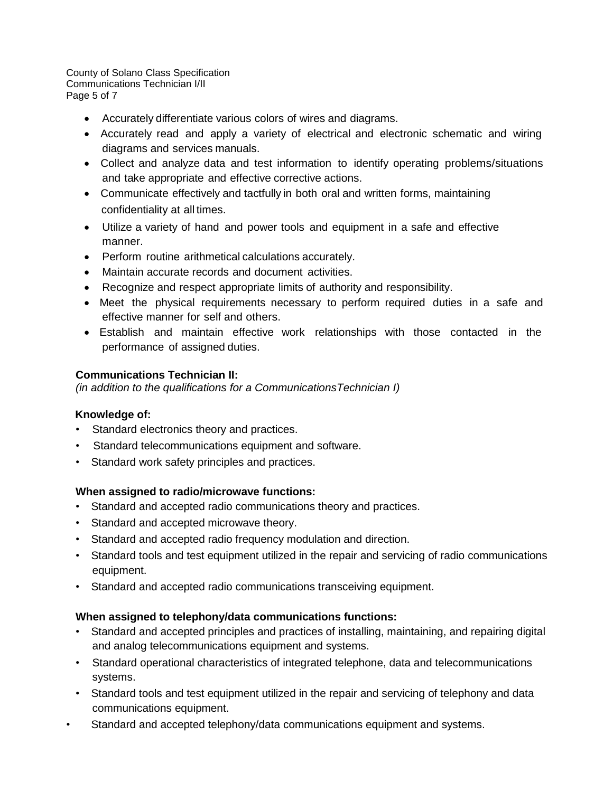County of Solano Class Specification Communications Technician I/II Page 5 of 7

- Accurately differentiate various colors of wires and diagrams.
- Accurately read and apply <sup>a</sup> variety of electrical and electronic schematic and wiring diagrams and services manuals.
- Collect and analyze data and test information to identify operating problems/situations and take appropriate and effective corrective actions.
- Communicate effectively and tactfully in both oral and written forms, maintaining confidentiality at all times.
- Utilize a variety of hand and power tools and equipment in a safe and effective manner.
- Perform routine arithmetical calculations accurately.
- Maintain accurate records and document activities.
- Recognize and respect appropriate limits of authority and responsibility.
- Meet the physical requirements necessary to perform required duties in <sup>a</sup> safe and effective manner for self and others.
- Establish and maintain effective work relationships with those contacted in the performance of assigned duties.

# **Communications Technician II:**

*(in addition to the qualifications for a CommunicationsTechnician I)*

## **Knowledge of:**

- Standard electronics theory and practices.
- Standard telecommunications equipment and software.
- Standard work safety principles and practices.

## **When assigned to radio/microwave functions:**

- Standard and accepted radio communications theory and practices.
- Standard and accepted microwave theory.
- Standard and accepted radio frequency modulation and direction.
- Standard tools and test equipment utilized in the repair and servicing of radio communications equipment.
- Standard and accepted radio communications transceiving equipment.

## **When assigned to telephony/data communications functions:**

- Standard and accepted principles and practices of installing, maintaining, and repairing digital and analog telecommunications equipment and systems.
- Standard operational characteristics of integrated telephone, data and telecommunications systems.
- Standard tools and test equipment utilized in the repair and servicing of telephony and data communications equipment.
- Standard and accepted telephony/data communications equipment and systems.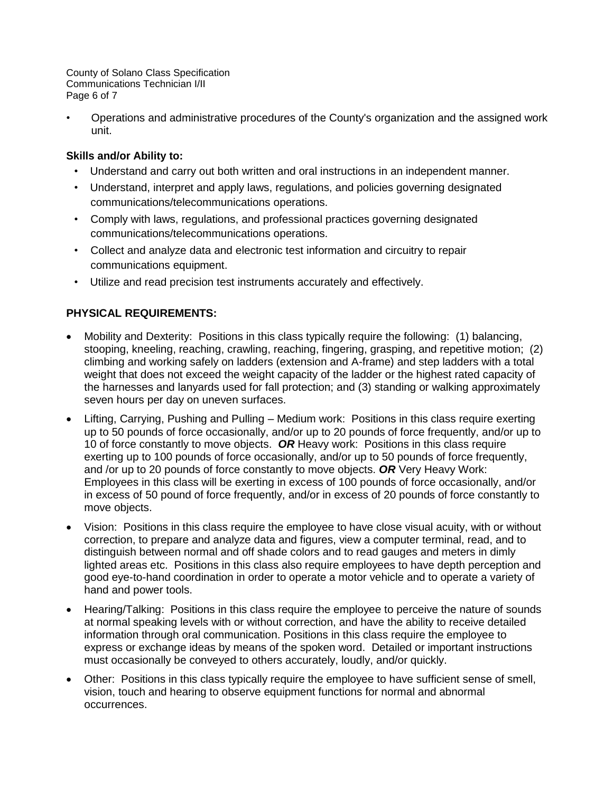County of Solano Class Specification Communications Technician I/II Page 6 of 7

• Operations and administrative procedures of the County's organization and the assigned work unit.

# **Skills and/or Ability to:**

- Understand and carry out both written and oral instructions in an independent manner.
- Understand, interpret and apply laws, regulations, and policies governing designated communications/telecommunications operations.
- Comply with laws, regulations, and professional practices governing designated communications/telecommunications operations.
- Collect and analyze data and electronic test information and circuitry to repair communications equipment.
- Utilize and read precision test instruments accurately and effectively.

# **PHYSICAL REQUIREMENTS:**

- Mobility and Dexterity: Positions in this class typically require the following: (1) balancing, stooping, kneeling, reaching, crawling, reaching, fingering, grasping, and repetitive motion; (2) climbing and working safely on ladders (extension and A-frame) and step ladders with a total weight that does not exceed the weight capacity of the ladder or the highest rated capacity of the harnesses and lanyards used for fall protection; and (3) standing or walking approximately seven hours per day on uneven surfaces.
- Lifting, Carrying, Pushing and Pulling Medium work: Positions in this class require exerting up to 50 pounds of force occasionally, and/or up to 20 pounds of force frequently, and/or up to 10 of force constantly to move objects. *OR* Heavy work: Positions in this class require exerting up to 100 pounds of force occasionally, and/or up to 50 pounds of force frequently, and /or up to 20 pounds of force constantly to move objects. *OR* Very Heavy Work: Employees in this class will be exerting in excess of 100 pounds of force occasionally, and/or in excess of 50 pound of force frequently, and/or in excess of 20 pounds of force constantly to move objects.
- Vision: Positions in this class require the employee to have close visual acuity, with or without correction, to prepare and analyze data and figures, view a computer terminal, read, and to distinguish between normal and off shade colors and to read gauges and meters in dimly lighted areas etc. Positions in this class also require employees to have depth perception and good eye-to-hand coordination in order to operate a motor vehicle and to operate a variety of hand and power tools.
- Hearing/Talking: Positions in this class require the employee to perceive the nature of sounds at normal speaking levels with or without correction, and have the ability to receive detailed information through oral communication. Positions in this class require the employee to express or exchange ideas by means of the spoken word. Detailed or important instructions must occasionally be conveyed to others accurately, loudly, and/or quickly.
- Other: Positions in this class typically require the employee to have sufficient sense of smell, vision, touch and hearing to observe equipment functions for normal and abnormal occurrences.